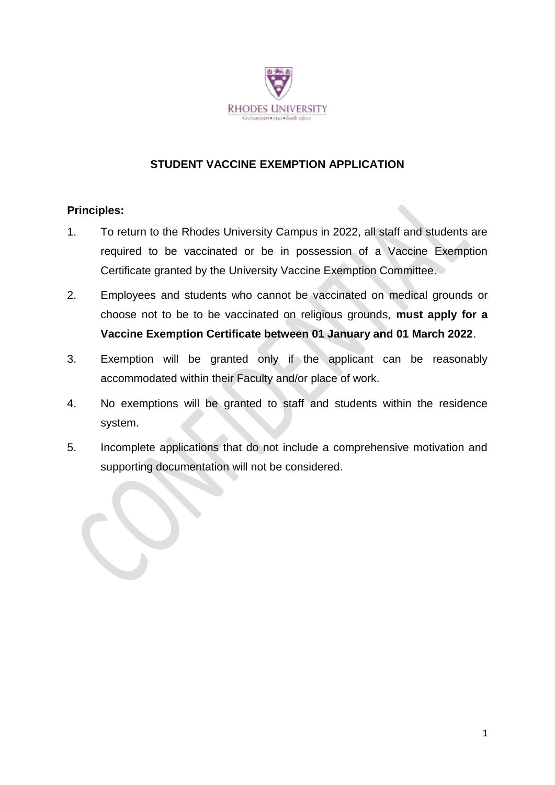

## **STUDENT VACCINE EXEMPTION APPLICATION**

#### **Principles:**

- 1. To return to the Rhodes University Campus in 2022, all staff and students are required to be vaccinated or be in possession of a Vaccine Exemption Certificate granted by the University Vaccine Exemption Committee.
- 2. Employees and students who cannot be vaccinated on medical grounds or choose not to be to be vaccinated on religious grounds, **must apply for a Vaccine Exemption Certificate between 01 January and 01 March 2022**.
- 3. Exemption will be granted only if the applicant can be reasonably accommodated within their Faculty and/or place of work.
- 4. No exemptions will be granted to staff and students within the residence system.
- 5. Incomplete applications that do not include a comprehensive motivation and supporting documentation will not be considered.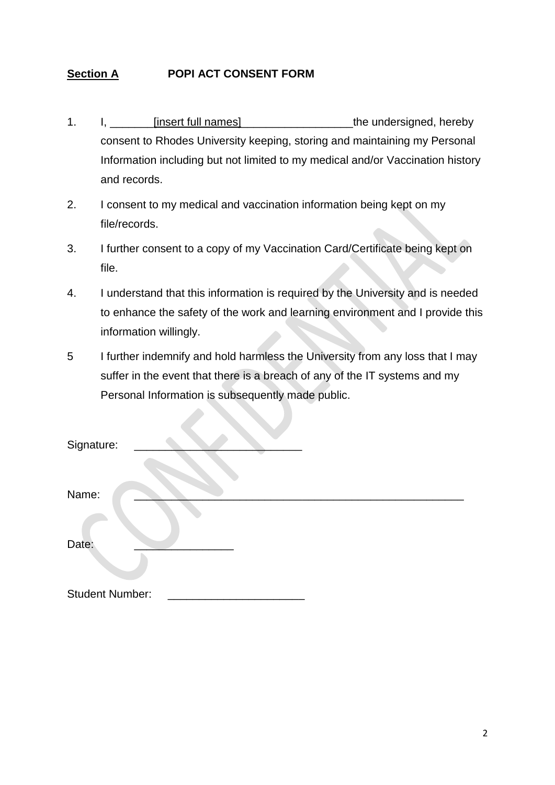# **Section A POPI ACT CONSENT FORM**

- 1. I, consistent full names and the undersigned, hereby consent to Rhodes University keeping, storing and maintaining my Personal Information including but not limited to my medical and/or Vaccination history and records.
- 2. I consent to my medical and vaccination information being kept on my file/records.
- 3. I further consent to a copy of my Vaccination Card/Certificate being kept on file.
- 4. I understand that this information is required by the University and is needed to enhance the safety of the work and learning environment and I provide this information willingly.
- 5 I further indemnify and hold harmless the University from any loss that I may suffer in the event that there is a breach of any of the IT systems and my Personal Information is subsequently made public.

| Signature:             |  |  |
|------------------------|--|--|
| Name:                  |  |  |
| Date:                  |  |  |
| <b>Student Number:</b> |  |  |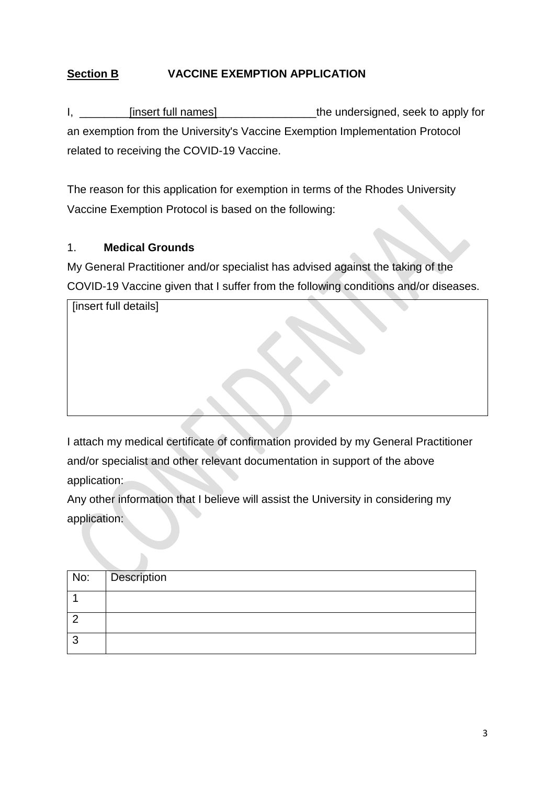# **Section B VACCINE EXEMPTION APPLICATION**

I, \_\_\_\_\_\_\_\_\_[insert full names] \_\_\_\_\_\_\_\_\_\_\_\_\_\_\_\_\_\_\_\_\_\_the undersigned, seek to apply for an exemption from the University's Vaccine Exemption Implementation Protocol related to receiving the COVID-19 Vaccine.

The reason for this application for exemption in terms of the Rhodes University Vaccine Exemption Protocol is based on the following:

#### 1. **Medical Grounds**

My General Practitioner and/or specialist has advised against the taking of the COVID-19 Vaccine given that I suffer from the following conditions and/or diseases.

| [insert full details] |  |
|-----------------------|--|
|                       |  |
|                       |  |
|                       |  |
|                       |  |
|                       |  |

I attach my medical certificate of confirmation provided by my General Practitioner and/or specialist and other relevant documentation in support of the above application:

Any other information that I believe will assist the University in considering my application:

|   | No: Description |
|---|-----------------|
|   |                 |
|   |                 |
| r |                 |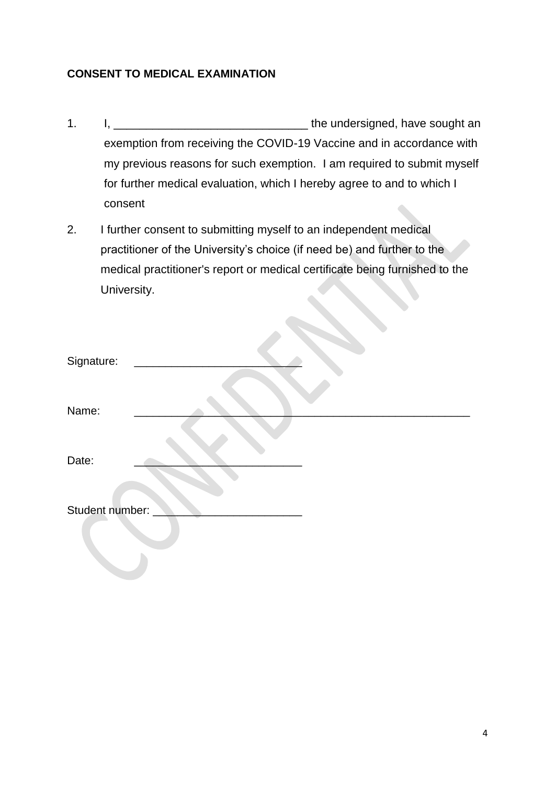### **CONSENT TO MEDICAL EXAMINATION**

- 1. I, \_\_\_\_\_\_\_\_\_\_\_\_\_\_\_\_\_\_\_\_\_\_\_\_\_\_\_\_\_\_ the undersigned, have sought an exemption from receiving the COVID-19 Vaccine and in accordance with my previous reasons for such exemption. I am required to submit myself for further medical evaluation, which I hereby agree to and to which I consent
- 2. I further consent to submitting myself to an independent medical practitioner of the University's choice (if need be) and further to the medical practitioner's report or medical certificate being furnished to the University.

| Signature:      |  |
|-----------------|--|
| Name:           |  |
| Date:           |  |
| Student number: |  |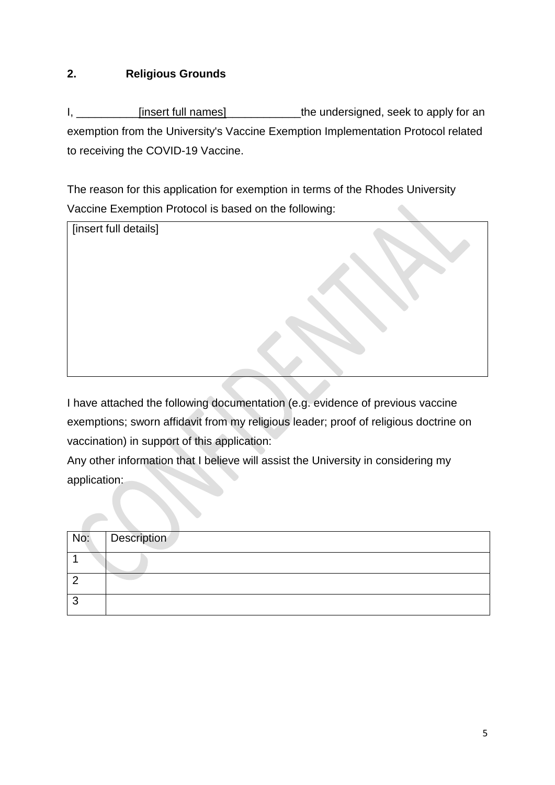## **2. Religious Grounds**

I, \_\_\_\_\_\_\_\_\_\_\_[insert full names]\_\_\_\_\_\_\_\_\_\_\_\_\_the undersigned, seek to apply for an exemption from the University's Vaccine Exemption Implementation Protocol related to receiving the COVID-19 Vaccine.

The reason for this application for exemption in terms of the Rhodes University Vaccine Exemption Protocol is based on the following:



I have attached the following documentation (e.g. evidence of previous vaccine exemptions; sworn affidavit from my religious leader; proof of religious doctrine on vaccination) in support of this application:

Any other information that I believe will assist the University in considering my application:

| No: | Description |
|-----|-------------|
|     |             |
|     |             |
|     |             |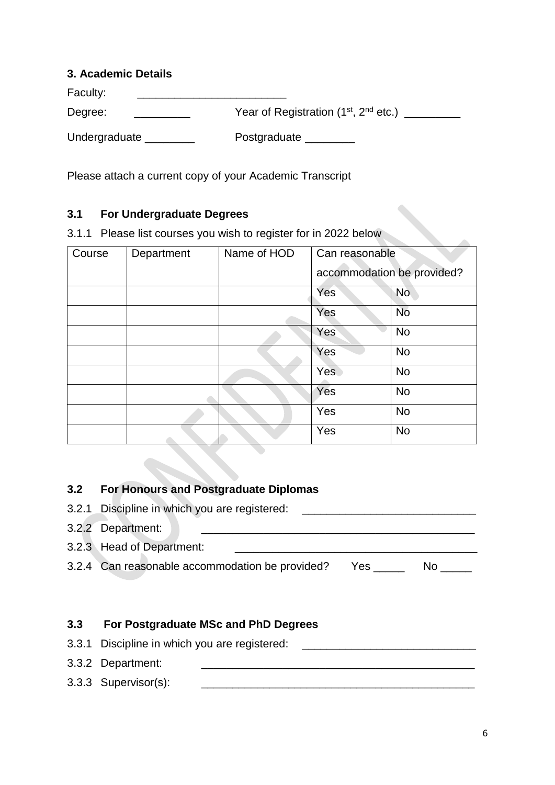#### **3. Academic Details**

| Faculty:      |                                                               |
|---------------|---------------------------------------------------------------|
| Degree:       | Year of Registration (1 <sup>st</sup> , 2 <sup>nd</sup> etc.) |
| Undergraduate | Postgraduate                                                  |

Please attach a current copy of your Academic Transcript

### **3.1 For Undergraduate Degrees**

3.1.1 Please list courses you wish to register for in 2022 below

| Course | Department | Name of HOD | Can reasonable             |           |
|--------|------------|-------------|----------------------------|-----------|
|        |            |             | accommodation be provided? |           |
|        |            |             | Yes                        | <b>No</b> |
|        |            |             | Yes                        | <b>No</b> |
|        |            |             | Yes                        | <b>No</b> |
|        |            |             | Yes                        | <b>No</b> |
|        |            |             | <b>Yes</b>                 | <b>No</b> |
|        |            |             | Yes                        | <b>No</b> |
|        |            |             | Yes                        | <b>No</b> |
|        |            |             | Yes                        | <b>No</b> |

# **3.2 For Honours and Postgraduate Diplomas**

| 3.2.1 Discipline in which you are registered:   |      |    |  |
|-------------------------------------------------|------|----|--|
| 3.2.2 Department:                               |      |    |  |
| 3.2.3 Head of Department:                       |      |    |  |
| 3.2.4 Can reasonable accommodation be provided? | Yes. | N٥ |  |

## **3.3 For Postgraduate MSc and PhD Degrees**

3.3.1 Discipline in which you are registered: \_\_\_\_\_\_\_\_\_\_\_\_\_\_\_\_\_\_\_\_\_\_\_\_\_\_\_\_\_\_\_\_\_\_ 3.3.2 Department: \_\_\_\_\_\_\_\_\_\_\_\_\_\_\_\_\_\_\_\_\_\_\_\_\_\_\_\_\_\_\_\_\_\_\_\_\_\_\_\_\_\_\_\_ 3.3.3 Supervisor(s): \_\_\_\_\_\_\_\_\_\_\_\_\_\_\_\_\_\_\_\_\_\_\_\_\_\_\_\_\_\_\_\_\_\_\_\_\_\_\_\_\_\_\_\_

 $\overline{\phantom{0}}$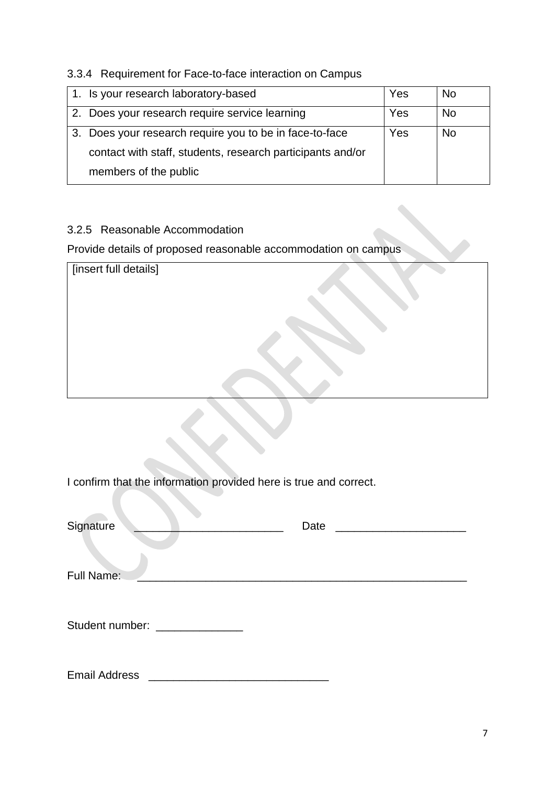### 3.3.4 Requirement for Face-to-face interaction on Campus

| 1. Is your research laboratory-based                       | Yes | No |
|------------------------------------------------------------|-----|----|
| 2. Does your research require service learning             | Yes | No |
| 3. Does your research require you to be in face-to-face    | Yes | No |
| contact with staff, students, research participants and/or |     |    |
| members of the public                                      |     |    |

## 3.2.5 Reasonable Accommodation

Provide details of proposed reasonable accommodation on campus

| [insert full details] |  |
|-----------------------|--|
|                       |  |
|                       |  |
|                       |  |
|                       |  |
|                       |  |
|                       |  |

I confirm that the information provided here is true and correct.

| Signature                    | Date |
|------------------------------|------|
| Full Name:                   |      |
| Student number: ____________ |      |

Email Address \_\_\_\_\_\_\_\_\_\_\_\_\_\_\_\_\_\_\_\_\_\_\_\_\_\_\_\_\_